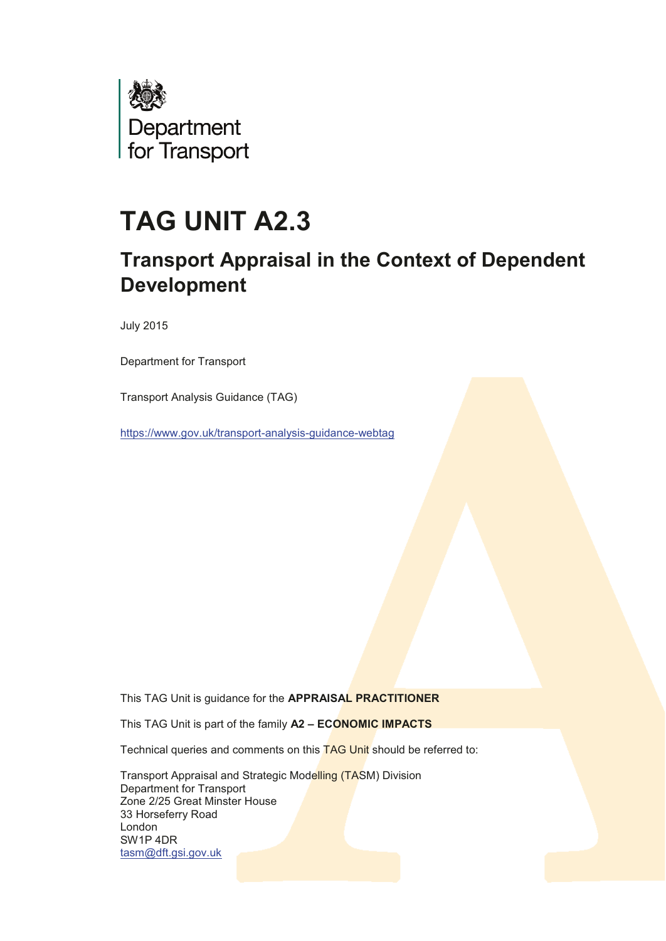

# **TAG UNIT A2.3**

# **Transport Appraisal in the Context of Dependent Development**

**July 2015** 

Department for Transport

Transport Analysis Guidance (TAG)

https://www.gov.uk/transport-analysis-guidance-webtag

This TAG Unit is guidance for the APPRAISAL PRACTITIONER

This TAG Unit is part of the family A2 - ECONOMIC IMPACTS

Technical queries and comments on this TAG Unit should be referred to:

Transport Appraisal and Strategic Modelling (TASM) Division Department for Transport Zone 2/25 Great Minster House 33 Horseferry Road London SW1P 4DR tasm@dft.gsi.gov.uk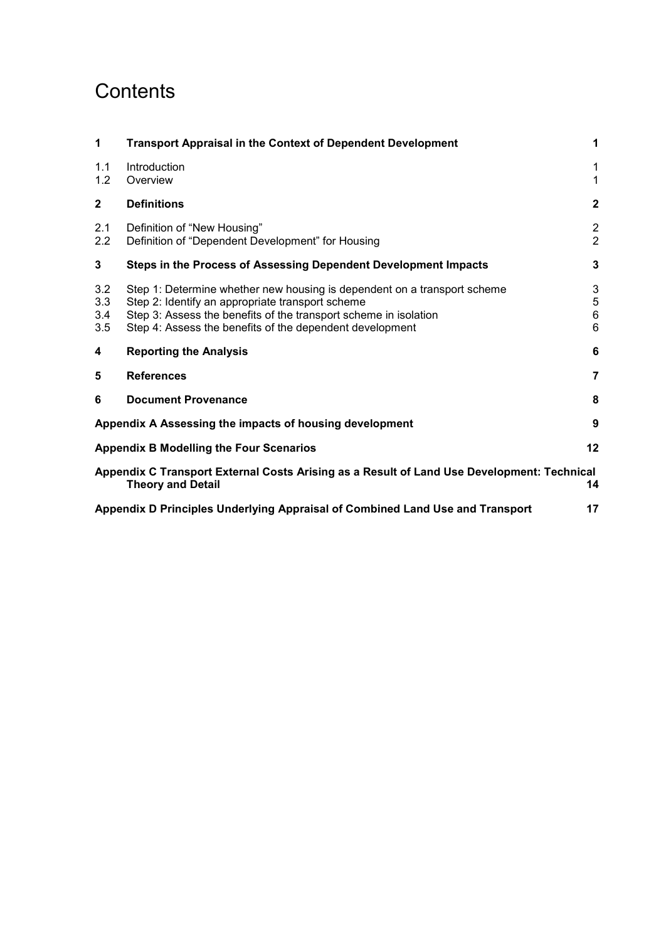# **Contents**

| 1                                                                                                                            | <b>Transport Appraisal in the Context of Dependent Development</b>                                                                                                                                                                                           | $\mathbf 1$                      |  |  |
|------------------------------------------------------------------------------------------------------------------------------|--------------------------------------------------------------------------------------------------------------------------------------------------------------------------------------------------------------------------------------------------------------|----------------------------------|--|--|
| 1.1<br>1.2                                                                                                                   | Introduction<br>Overview                                                                                                                                                                                                                                     | 1<br>$\mathbf{1}$                |  |  |
| $\mathbf{2}$                                                                                                                 | <b>Definitions</b>                                                                                                                                                                                                                                           | $\mathbf{2}$                     |  |  |
| 2.1<br>2.2                                                                                                                   | Definition of "New Housing"<br>Definition of "Dependent Development" for Housing                                                                                                                                                                             | $\overline{2}$<br>$\overline{2}$ |  |  |
| 3                                                                                                                            | Steps in the Process of Assessing Dependent Development Impacts                                                                                                                                                                                              | 3                                |  |  |
| 3.2<br>3.3<br>3.4<br>3.5                                                                                                     | Step 1: Determine whether new housing is dependent on a transport scheme<br>Step 2: Identify an appropriate transport scheme<br>Step 3: Assess the benefits of the transport scheme in isolation<br>Step 4: Assess the benefits of the dependent development | 3<br>5<br>6<br>6                 |  |  |
| 4                                                                                                                            | <b>Reporting the Analysis</b>                                                                                                                                                                                                                                | 6                                |  |  |
| 5                                                                                                                            | <b>References</b>                                                                                                                                                                                                                                            | $\overline{7}$                   |  |  |
| 6                                                                                                                            | <b>Document Provenance</b>                                                                                                                                                                                                                                   | 8                                |  |  |
| 9<br>Appendix A Assessing the impacts of housing development                                                                 |                                                                                                                                                                                                                                                              |                                  |  |  |
| 12<br><b>Appendix B Modelling the Four Scenarios</b>                                                                         |                                                                                                                                                                                                                                                              |                                  |  |  |
| Appendix C Transport External Costs Arising as a Result of Land Use Development: Technical<br><b>Theory and Detail</b><br>14 |                                                                                                                                                                                                                                                              |                                  |  |  |
|                                                                                                                              | Appendix D Principles Underlying Appraisal of Combined Land Use and Transport<br>17                                                                                                                                                                          |                                  |  |  |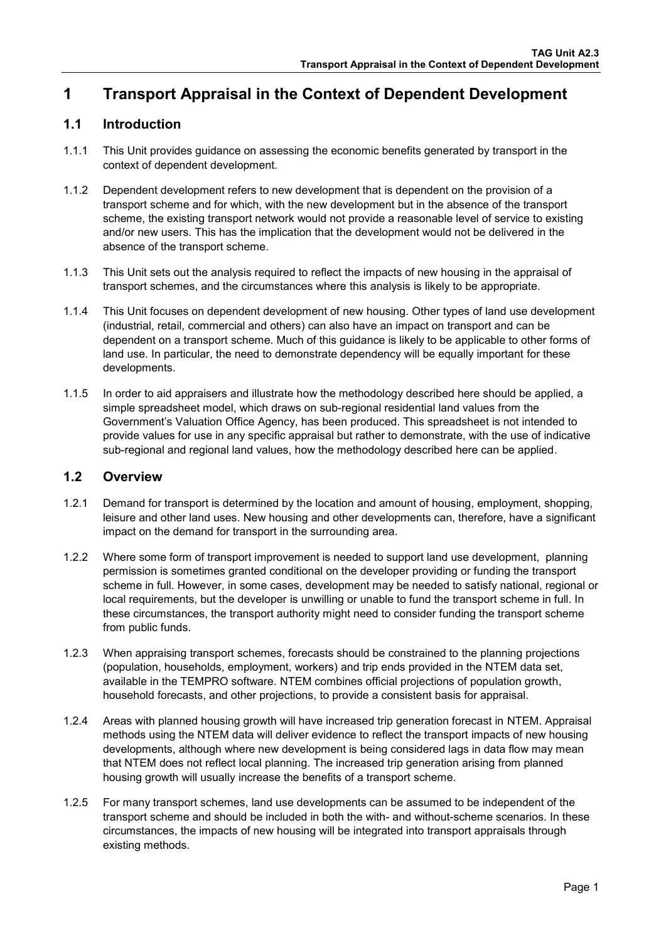# <span id="page-2-0"></span>**1 Transport Appraisal in the Context of Dependent Development**

### <span id="page-2-1"></span>**1.1 Introduction**

- 1.1.1 This Unit provides guidance on assessing the economic benefits generated by transport in the context of dependent development.
- 1.1.2 Dependent development refers to new development that is dependent on the provision of a transport scheme and for which, with the new development but in the absence of the transport scheme, the existing transport network would not provide a reasonable level of service to existing and/or new users. This has the implication that the development would not be delivered in the absence of the transport scheme.
- 1.1.3 This Unit sets out the analysis required to reflect the impacts of new housing in the appraisal of transport schemes, and the circumstances where this analysis is likely to be appropriate.
- 1.1.4 This Unit focuses on dependent development of new housing. Other types of land use development (industrial, retail, commercial and others) can also have an impact on transport and can be dependent on a transport scheme. Much of this guidance is likely to be applicable to other forms of land use. In particular, the need to demonstrate dependency will be equally important for these developments.
- 1.1.5 In order to aid appraisers and illustrate how the methodology described here should be applied, a simple spreadsheet model, which draws on sub-regional residential land values from the Government's Valuation Office Agency, has been produced. This spreadsheet is not intended to provide values for use in any specific appraisal but rather to demonstrate, with the use of indicative sub-regional and regional land values, how the methodology described here can be applied.

### <span id="page-2-2"></span>**1.2 Overview**

- 1.2.1 Demand for transport is determined by the location and amount of housing, employment, shopping, leisure and other land uses. New housing and other developments can, therefore, have a significant impact on the demand for transport in the surrounding area.
- 1.2.2 Where some form of transport improvement is needed to support land use development, planning permission is sometimes granted conditional on the developer providing or funding the transport scheme in full. However, in some cases, development may be needed to satisfy national, regional or local requirements, but the developer is unwilling or unable to fund the transport scheme in full. In these circumstances, the transport authority might need to consider funding the transport scheme from public funds.
- 1.2.3 When appraising transport schemes, forecasts should be constrained to the planning projections (population, households, employment, workers) and trip ends provided in the NTEM data set, available in the TEMPRO software. NTEM combines official projections of population growth, household forecasts, and other projections, to provide a consistent basis for appraisal.
- 1.2.4 Areas with planned housing growth will have increased trip generation forecast in NTEM. Appraisal methods using the NTEM data will deliver evidence to reflect the transport impacts of new housing developments, although where new development is being considered lags in data flow may mean that NTEM does not reflect local planning. The increased trip generation arising from planned housing growth will usually increase the benefits of a transport scheme.
- 1.2.5 For many transport schemes, land use developments can be assumed to be independent of the transport scheme and should be included in both the with- and without-scheme scenarios. In these circumstances, the impacts of new housing will be integrated into transport appraisals through existing methods.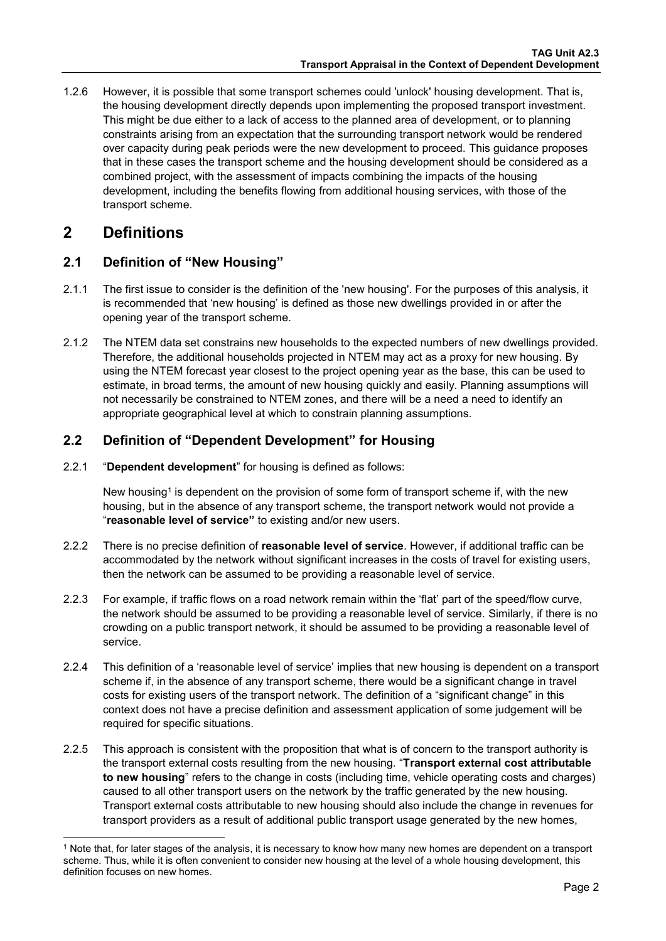1.2.6 However, it is possible that some transport schemes could 'unlock' housing development. That is, the housing development directly depends upon implementing the proposed transport investment. This might be due either to a lack of access to the planned area of development, or to planning constraints arising from an expectation that the surrounding transport network would be rendered over capacity during peak periods were the new development to proceed. This guidance proposes that in these cases the transport scheme and the housing development should be considered as a combined project, with the assessment of impacts combining the impacts of the housing development, including the benefits flowing from additional housing services, with those of the transport scheme.

## <span id="page-3-0"></span>**2 Definitions**

### <span id="page-3-1"></span>**2.1 Definition of "New Housing"**

- 2.1.1 The first issue to consider is the definition of the 'new housing'. For the purposes of this analysis, it is recommended that 'new housing' is defined as those new dwellings provided in or after the opening year of the transport scheme.
- 2.1.2 The NTEM data set constrains new households to the expected numbers of new dwellings provided. Therefore, the additional households projected in NTEM may act as a proxy for new housing. By using the NTEM forecast year closest to the project opening year as the base, this can be used to estimate, in broad terms, the amount of new housing quickly and easily. Planning assumptions will not necessarily be constrained to NTEM zones, and there will be a need a need to identify an appropriate geographical level at which to constrain planning assumptions.

### <span id="page-3-2"></span>**2.2 Definition of "Dependent Development" for Housing**

2.2.1 "**Dependent development**" for housing is defined as follows:

New housing<sup>1</sup> is dependent on the provision of some form of transport scheme if, with the new housing, but in the absence of any transport scheme, the transport network would not provide a "**reasonable level of service"** to existing and/or new users.

- 2.2.2 There is no precise definition of **reasonable level of service**. However, if additional traffic can be accommodated by the network without significant increases in the costs of travel for existing users, then the network can be assumed to be providing a reasonable level of service.
- 2.2.3 For example, if traffic flows on a road network remain within the 'flat' part of the speed/flow curve, the network should be assumed to be providing a reasonable level of service. Similarly, if there is no crowding on a public transport network, it should be assumed to be providing a reasonable level of service.
- 2.2.4 This definition of a 'reasonable level of service' implies that new housing is dependent on a transport scheme if, in the absence of any transport scheme, there would be a significant change in travel costs for existing users of the transport network. The definition of a "significant change" in this context does not have a precise definition and assessment application of some judgement will be required for specific situations.
- 2.2.5 This approach is consistent with the proposition that what is of concern to the transport authority is the transport external costs resulting from the new housing. "**Transport external cost attributable to new housing**" refers to the change in costs (including time, vehicle operating costs and charges) caused to all other transport users on the network by the traffic generated by the new housing. Transport external costs attributable to new housing should also include the change in revenues for transport providers as a result of additional public transport usage generated by the new homes,

 1 Note that, for later stages of the analysis, it is necessary to know how many new homes are dependent on a transport scheme. Thus, while it is often convenient to consider new housing at the level of a whole housing development, this definition focuses on new homes.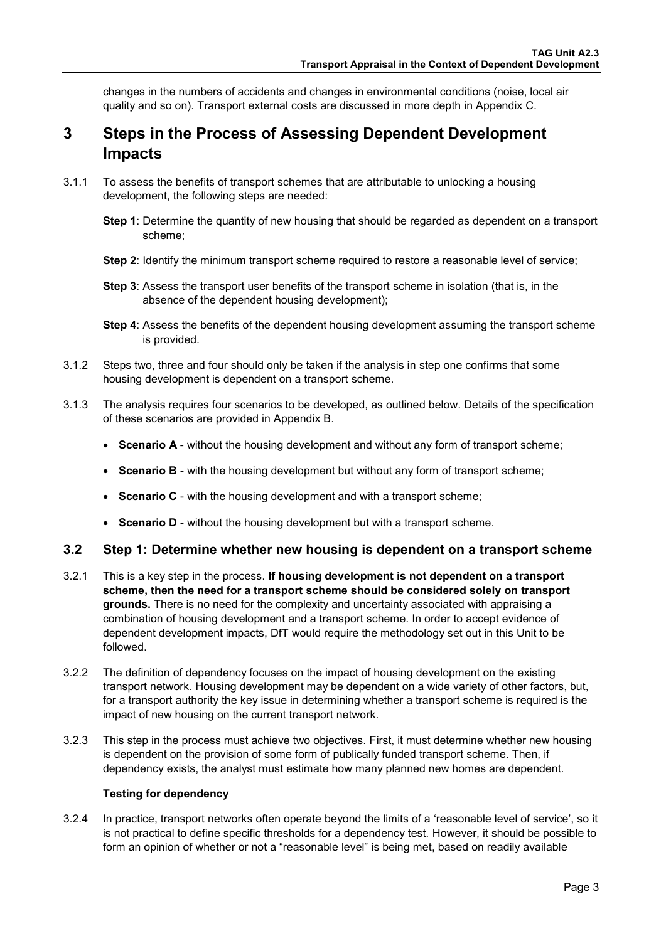changes in the numbers of accidents and changes in environmental conditions (noise, local air quality and so on). Transport external costs are discussed in more depth in [Appendix C.](#page-15-1) 

# <span id="page-4-0"></span>**3 Steps in the Process of Assessing Dependent Development Impacts**

- 3.1.1 To assess the benefits of transport schemes that are attributable to unlocking a housing development, the following steps are needed:
	- **Step 1**: Determine the quantity of new housing that should be regarded as dependent on a transport scheme;
	- **Step 2**: Identify the minimum transport scheme required to restore a reasonable level of service;
	- **Step 3**: Assess the transport user benefits of the transport scheme in isolation (that is, in the absence of the dependent housing development);
	- **Step 4**: Assess the benefits of the dependent housing development assuming the transport scheme is provided.
- 3.1.2 Steps two, three and four should only be taken if the analysis in step one confirms that some housing development is dependent on a transport scheme.
- 3.1.3 The analysis requires four scenarios to be developed, as outlined below. Details of the specification of these scenarios are provided in [Appendix B.](#page-13-0)
	- **Scenario A** without the housing development and without any form of transport scheme;
	- **Scenario B** with the housing development but without any form of transport scheme;
	- **Scenario C** with the housing development and with a transport scheme;
	- **Scenario D** without the housing development but with a transport scheme.

### <span id="page-4-1"></span>**3.2 Step 1: Determine whether new housing is dependent on a transport scheme**

- 3.2.1 This is a key step in the process. **If housing development is not dependent on a transport scheme, then the need for a transport scheme should be considered solely on transport grounds.** There is no need for the complexity and uncertainty associated with appraising a combination of housing development and a transport scheme. In order to accept evidence of dependent development impacts, DfT would require the methodology set out in this Unit to be followed.
- 3.2.2 The definition of dependency focuses on the impact of housing development on the existing transport network. Housing development may be dependent on a wide variety of other factors, but, for a transport authority the key issue in determining whether a transport scheme is required is the impact of new housing on the current transport network.
- 3.2.3 This step in the process must achieve two objectives. First, it must determine whether new housing is dependent on the provision of some form of publically funded transport scheme. Then, if dependency exists, the analyst must estimate how many planned new homes are dependent.

### **Testing for dependency**

3.2.4 In practice, transport networks often operate beyond the limits of a 'reasonable level of service', so it is not practical to define specific thresholds for a dependency test. However, it should be possible to form an opinion of whether or not a "reasonable level" is being met, based on readily available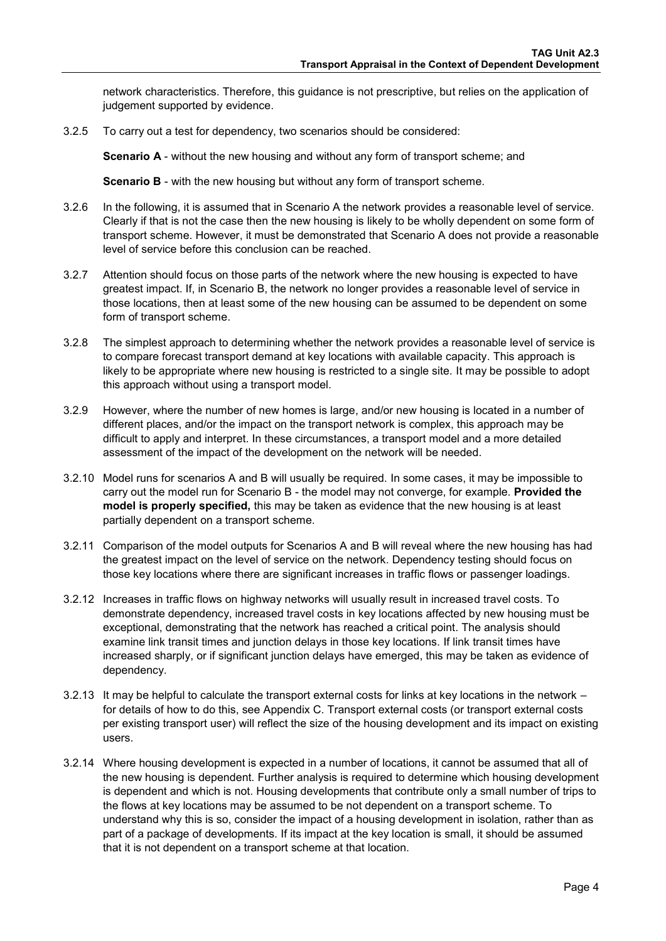network characteristics. Therefore, this guidance is not prescriptive, but relies on the application of judgement supported by evidence.

3.2.5 To carry out a test for dependency, two scenarios should be considered:

**Scenario A** - without the new housing and without any form of transport scheme; and

**Scenario B** - with the new housing but without any form of transport scheme.

- 3.2.6 In the following, it is assumed that in Scenario A the network provides a reasonable level of service. Clearly if that is not the case then the new housing is likely to be wholly dependent on some form of transport scheme. However, it must be demonstrated that Scenario A does not provide a reasonable level of service before this conclusion can be reached.
- 3.2.7 Attention should focus on those parts of the network where the new housing is expected to have greatest impact. If, in Scenario B, the network no longer provides a reasonable level of service in those locations, then at least some of the new housing can be assumed to be dependent on some form of transport scheme.
- 3.2.8 The simplest approach to determining whether the network provides a reasonable level of service is to compare forecast transport demand at key locations with available capacity. This approach is likely to be appropriate where new housing is restricted to a single site. It may be possible to adopt this approach without using a transport model.
- 3.2.9 However, where the number of new homes is large, and/or new housing is located in a number of different places, and/or the impact on the transport network is complex, this approach may be difficult to apply and interpret. In these circumstances, a transport model and a more detailed assessment of the impact of the development on the network will be needed.
- 3.2.10 Model runs for scenarios A and B will usually be required. In some cases, it may be impossible to carry out the model run for Scenario B - the model may not converge, for example. **Provided the model is properly specified,** this may be taken as evidence that the new housing is at least partially dependent on a transport scheme.
- 3.2.11 Comparison of the model outputs for Scenarios A and B will reveal where the new housing has had the greatest impact on the level of service on the network. Dependency testing should focus on those key locations where there are significant increases in traffic flows or passenger loadings.
- 3.2.12 Increases in traffic flows on highway networks will usually result in increased travel costs. To demonstrate dependency, increased travel costs in key locations affected by new housing must be exceptional, demonstrating that the network has reached a critical point. The analysis should examine link transit times and junction delays in those key locations. If link transit times have increased sharply, or if significant junction delays have emerged, this may be taken as evidence of dependency.
- 3.2.13 It may be helpful to calculate the transport external costs for links at key locations in the network for details of how to do this, see [Appendix C.](#page-15-1) Transport external costs (or transport external costs per existing transport user) will reflect the size of the housing development and its impact on existing users.
- 3.2.14 Where housing development is expected in a number of locations, it cannot be assumed that all of the new housing is dependent. Further analysis is required to determine which housing development is dependent and which is not. Housing developments that contribute only a small number of trips to the flows at key locations may be assumed to be not dependent on a transport scheme. To understand why this is so, consider the impact of a housing development in isolation, rather than as part of a package of developments. If its impact at the key location is small, it should be assumed that it is not dependent on a transport scheme at that location.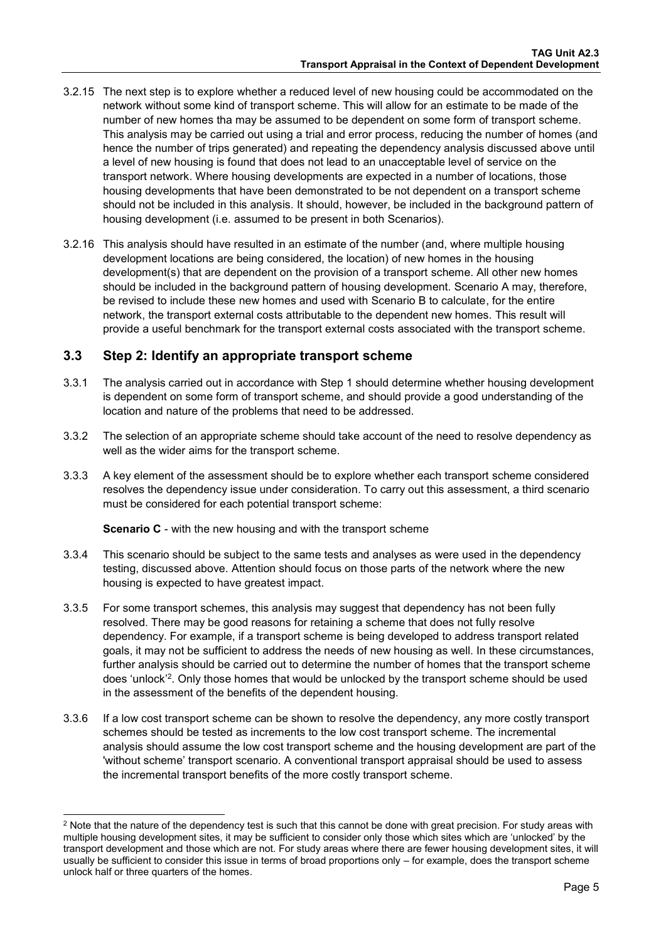- 3.2.15 The next step is to explore whether a reduced level of new housing could be accommodated on the network without some kind of transport scheme. This will allow for an estimate to be made of the number of new homes tha may be assumed to be dependent on some form of transport scheme. This analysis may be carried out using a trial and error process, reducing the number of homes (and hence the number of trips generated) and repeating the dependency analysis discussed above until a level of new housing is found that does not lead to an unacceptable level of service on the transport network. Where housing developments are expected in a number of locations, those housing developments that have been demonstrated to be not dependent on a transport scheme should not be included in this analysis. It should, however, be included in the background pattern of housing development (i.e. assumed to be present in both Scenarios).
- 3.2.16 This analysis should have resulted in an estimate of the number (and, where multiple housing development locations are being considered, the location) of new homes in the housing development(s) that are dependent on the provision of a transport scheme. All other new homes should be included in the background pattern of housing development. Scenario A may, therefore, be revised to include these new homes and used with Scenario B to calculate, for the entire network, the transport external costs attributable to the dependent new homes. This result will provide a useful benchmark for the transport external costs associated with the transport scheme.

### <span id="page-6-0"></span>**3.3 Step 2: Identify an appropriate transport scheme**

- 3.3.1 The analysis carried out in accordance with Step 1 should determine whether housing development is dependent on some form of transport scheme, and should provide a good understanding of the location and nature of the problems that need to be addressed.
- 3.3.2 The selection of an appropriate scheme should take account of the need to resolve dependency as well as the wider aims for the transport scheme.
- 3.3.3 A key element of the assessment should be to explore whether each transport scheme considered resolves the dependency issue under consideration. To carry out this assessment, a third scenario must be considered for each potential transport scheme:

**Scenario C** - with the new housing and with the transport scheme

-

- 3.3.4 This scenario should be subject to the same tests and analyses as were used in the dependency testing, discussed above. Attention should focus on those parts of the network where the new housing is expected to have greatest impact.
- 3.3.5 For some transport schemes, this analysis may suggest that dependency has not been fully resolved. There may be good reasons for retaining a scheme that does not fully resolve dependency. For example, if a transport scheme is being developed to address transport related goals, it may not be sufficient to address the needs of new housing as well. In these circumstances, further analysis should be carried out to determine the number of homes that the transport scheme does 'unlock'<sup>2</sup>. Only those homes that would be unlocked by the transport scheme should be used in the assessment of the benefits of the dependent housing.
- 3.3.6 If a low cost transport scheme can be shown to resolve the dependency, any more costly transport schemes should be tested as increments to the low cost transport scheme. The incremental analysis should assume the low cost transport scheme and the housing development are part of the 'without scheme' transport scenario. A conventional transport appraisal should be used to assess the incremental transport benefits of the more costly transport scheme.

 $^2$  Note that the nature of the dependency test is such that this cannot be done with great precision. For study areas with multiple housing development sites, it may be sufficient to consider only those which sites which are 'unlocked' by the transport development and those which are not. For study areas where there are fewer housing development sites, it will usually be sufficient to consider this issue in terms of broad proportions only – for example, does the transport scheme unlock half or three quarters of the homes.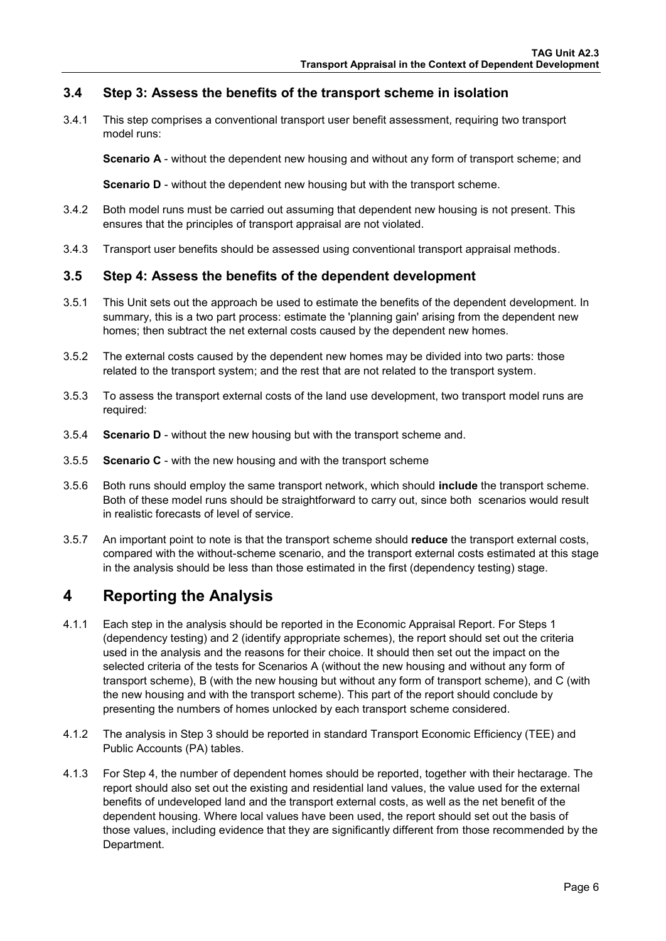### <span id="page-7-0"></span>**3.4 Step 3: Assess the benefits of the transport scheme in isolation**

3.4.1 This step comprises a conventional transport user benefit assessment, requiring two transport model runs:

**Scenario A** - without the dependent new housing and without any form of transport scheme; and

**Scenario D** - without the dependent new housing but with the transport scheme.

- 3.4.2 Both model runs must be carried out assuming that dependent new housing is not present. This ensures that the principles of transport appraisal are not violated.
- 3.4.3 Transport user benefits should be assessed using conventional transport appraisal methods.

### <span id="page-7-1"></span>**3.5 Step 4: Assess the benefits of the dependent development**

- 3.5.1 This Unit sets out the approach be used to estimate the benefits of the dependent development. In summary, this is a two part process: estimate the 'planning gain' arising from the dependent new homes; then subtract the net external costs caused by the dependent new homes.
- 3.5.2 The external costs caused by the dependent new homes may be divided into two parts: those related to the transport system; and the rest that are not related to the transport system.
- 3.5.3 To assess the transport external costs of the land use development, two transport model runs are required:
- 3.5.4 **Scenario D**  without the new housing but with the transport scheme and.
- 3.5.5 **Scenario C** with the new housing and with the transport scheme
- 3.5.6 Both runs should employ the same transport network, which should **include** the transport scheme. Both of these model runs should be straightforward to carry out, since both scenarios would result in realistic forecasts of level of service.
- 3.5.7 An important point to note is that the transport scheme should **reduce** the transport external costs, compared with the without-scheme scenario, and the transport external costs estimated at this stage in the analysis should be less than those estimated in the first (dependency testing) stage.

## <span id="page-7-2"></span>**4 Reporting the Analysis**

- 4.1.1 Each step in the analysis should be reported in the Economic Appraisal Report. For Steps 1 (dependency testing) and 2 (identify appropriate schemes), the report should set out the criteria used in the analysis and the reasons for their choice. It should then set out the impact on the selected criteria of the tests for Scenarios A (without the new housing and without any form of transport scheme), B (with the new housing but without any form of transport scheme), and C (with the new housing and with the transport scheme). This part of the report should conclude by presenting the numbers of homes unlocked by each transport scheme considered.
- 4.1.2 The analysis in Step 3 should be reported in standard Transport Economic Efficiency (TEE) and Public Accounts (PA) tables.
- 4.1.3 For Step 4, the number of dependent homes should be reported, together with their hectarage. The report should also set out the existing and residential land values, the value used for the external benefits of undeveloped land and the transport external costs, as well as the net benefit of the dependent housing. Where local values have been used, the report should set out the basis of those values, including evidence that they are significantly different from those recommended by the Department.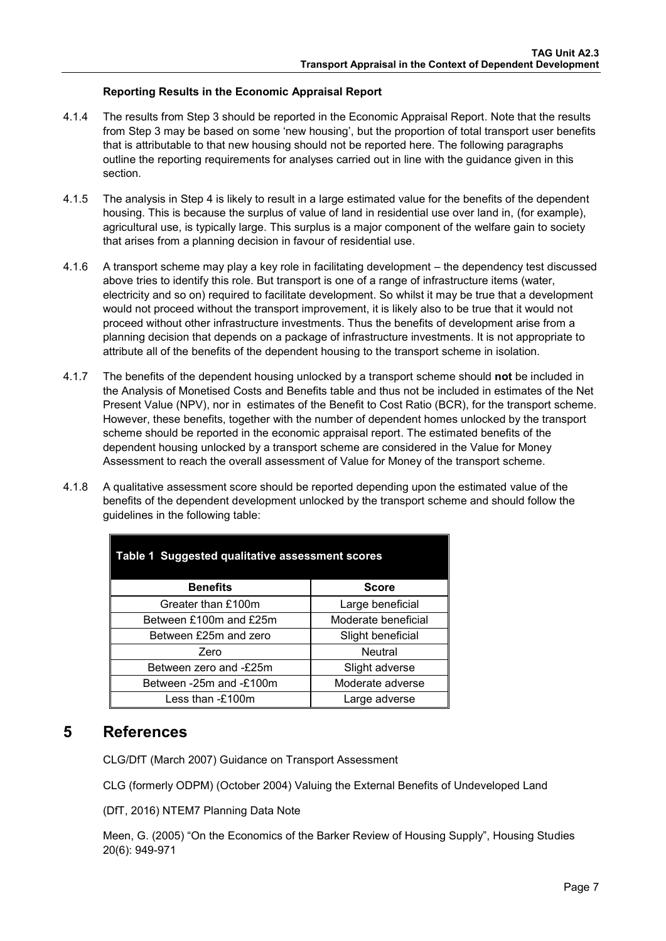### **Reporting Results in the Economic Appraisal Report**

- 4.1.4 The results from Step 3 should be reported in the Economic Appraisal Report. Note that the results from Step 3 may be based on some 'new housing', but the proportion of total transport user benefits that is attributable to that new housing should not be reported here. The following paragraphs outline the reporting requirements for analyses carried out in line with the guidance given in this section.
- 4.1.5 The analysis in Step 4 is likely to result in a large estimated value for the benefits of the dependent housing. This is because the surplus of value of land in residential use over land in, (for example), agricultural use, is typically large. This surplus is a major component of the welfare gain to society that arises from a planning decision in favour of residential use.
- 4.1.6 A transport scheme may play a key role in facilitating development the dependency test discussed above tries to identify this role. But transport is one of a range of infrastructure items (water, electricity and so on) required to facilitate development. So whilst it may be true that a development would not proceed without the transport improvement, it is likely also to be true that it would not proceed without other infrastructure investments. Thus the benefits of development arise from a planning decision that depends on a package of infrastructure investments. It is not appropriate to attribute all of the benefits of the dependent housing to the transport scheme in isolation.
- 4.1.7 The benefits of the dependent housing unlocked by a transport scheme should **not** be included in the Analysis of Monetised Costs and Benefits table and thus not be included in estimates of the Net Present Value (NPV), nor in estimates of the Benefit to Cost Ratio (BCR), for the transport scheme. However, these benefits, together with the number of dependent homes unlocked by the transport scheme should be reported in the economic appraisal report. The estimated benefits of the dependent housing unlocked by a transport scheme are considered in the Value for Money Assessment to reach the overall assessment of Value for Money of the transport scheme.
- 4.1.8 A qualitative assessment score should be reported depending upon the estimated value of the benefits of the dependent development unlocked by the transport scheme and should follow the guidelines in the following table:

| Table 1 Suggested qualitative assessment scores |                     |  |  |
|-------------------------------------------------|---------------------|--|--|
| <b>Benefits</b>                                 | <b>Score</b>        |  |  |
| Greater than £100m                              | Large beneficial    |  |  |
| Between £100m and £25m                          | Moderate beneficial |  |  |
| Between £25m and zero                           | Slight beneficial   |  |  |
| Zero                                            | <b>Neutral</b>      |  |  |
| Between zero and -£25m                          | Slight adverse      |  |  |
| Between -25m and -£100m                         | Moderate adverse    |  |  |
| Less than $-E100m$                              | Large adverse       |  |  |

### <span id="page-8-0"></span>**5 References**

CLG/DfT (March 2007) Guidance on Transport Assessment

CLG (formerly ODPM) (October 2004) Valuing the External Benefits of Undeveloped Land

(DfT, 2016) NTEM7 Planning Data Note

Meen, G. (2005) "On the Economics of the Barker Review of Housing Supply", Housing Studies 20(6): 949-971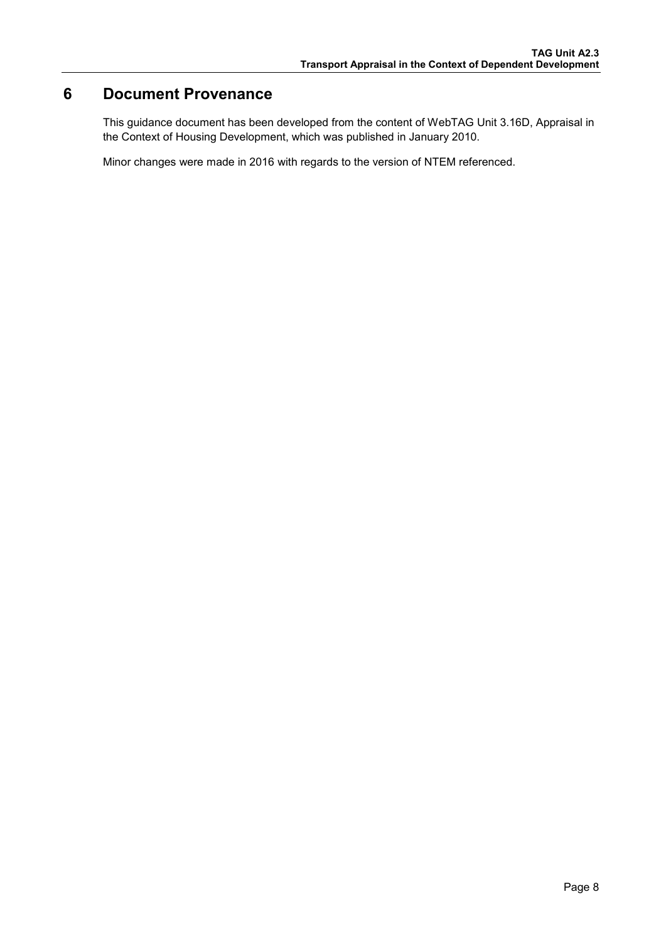## <span id="page-9-0"></span>**6 Document Provenance**

This guidance document has been developed from the content of WebTAG Unit 3.16D, Appraisal in the Context of Housing Development, which was published in January 2010.

Minor changes were made in 2016 with regards to the version of NTEM referenced.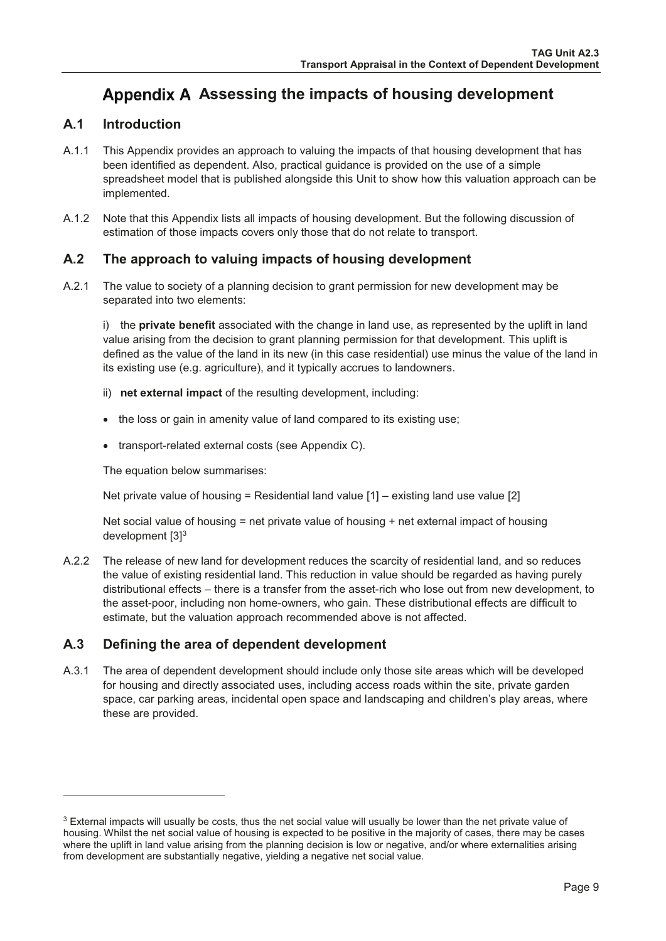# <span id="page-10-0"></span>Appendix A Assessing the impacts of housing development

#### $A.1$ **Introduction**

- $A.1.1$ This Appendix provides an approach to valuing the impacts of that housing development that has been identified as dependent. Also, practical guidance is provided on the use of a simple spreadsheet model that is published alongside this Unit to show how this valuation approach can be implemented.
- $A.1.2$ Note that this Appendix lists all impacts of housing development. But the following discussion of estimation of those impacts covers only those that do not relate to transport.

#### $A.2$ The approach to valuing impacts of housing development

 $A.2.1$ The value to society of a planning decision to grant permission for new development may be separated into two elements:

i) the private benefit associated with the change in land use, as represented by the uplift in land value arising from the decision to grant planning permission for that development. This uplift is defined as the value of the land in its new (in this case residential) use minus the value of the land in its existing use (e.g. agriculture), and it typically accrues to landowners.

- ii) net external impact of the resulting development, including:
- the loss or gain in amenity value of land compared to its existing use;
- transport-related external costs (see Appendix C).

The equation below summarises:

Net private value of housing = Residential land value  $[1]$  – existing land use value  $[2]$ 

Net social value of housing  $=$  net private value of housing  $+$  net external impact of housing development [3]<sup>3</sup>

 $A.2.2$ The release of new land for development reduces the scarcity of residential land, and so reduces the value of existing residential land. This reduction in value should be regarded as having purely distributional effects – there is a transfer from the asset-rich who lose out from new development, to the asset-poor, including non home-owners, who gain. These distributional effects are difficult to estimate, but the valuation approach recommended above is not affected.

#### $A.3$ Defining the area of dependent development

 $A.3.1$ The area of dependent development should include only those site areas which will be developed for housing and directly associated uses, including access roads within the site, private garden space, car parking areas, incidental open space and landscaping and children's play areas, where these are provided.

<sup>&</sup>lt;sup>3</sup> External impacts will usually be costs, thus the net social value will usually be lower than the net private value of housing. Whilst the net social value of housing is expected to be positive in the majority of cases, there may be cases where the uplift in land value arising from the planning decision is low or negative, and/or where externalities arising from development are substantially negative, yielding a negative net social value.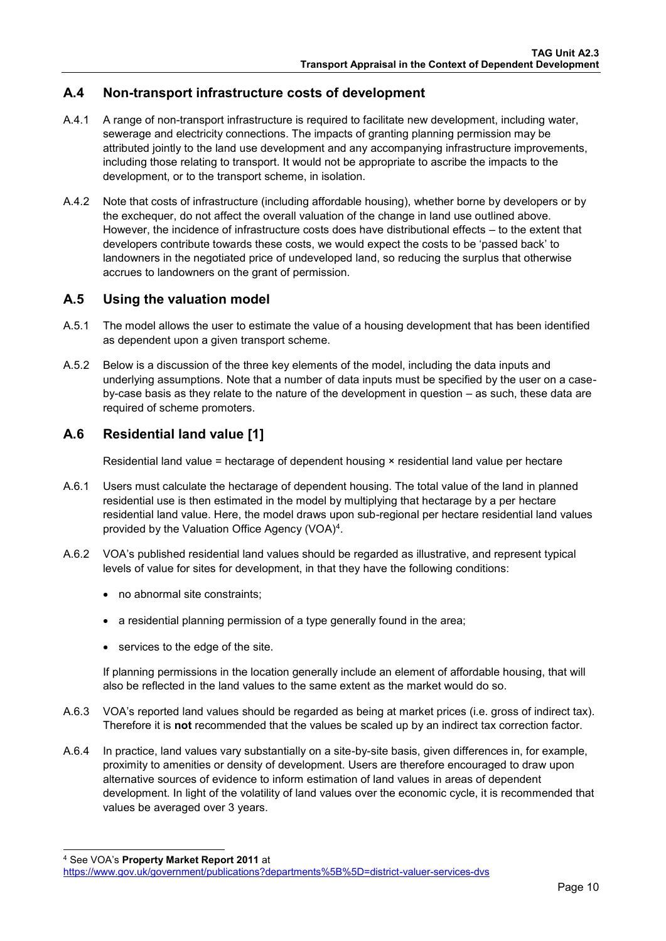### **A.4 Non-transport infrastructure costs of development**

- A.4.1 A range of non-transport infrastructure is required to facilitate new development, including water, sewerage and electricity connections. The impacts of granting planning permission may be attributed jointly to the land use development and any accompanying infrastructure improvements, including those relating to transport. It would not be appropriate to ascribe the impacts to the development, or to the transport scheme, in isolation.
- A.4.2 Note that costs of infrastructure (including affordable housing), whether borne by developers or by the exchequer, do not affect the overall valuation of the change in land use outlined above. However, the incidence of infrastructure costs does have distributional effects – to the extent that developers contribute towards these costs, we would expect the costs to be 'passed back' to landowners in the negotiated price of undeveloped land, so reducing the surplus that otherwise accrues to landowners on the grant of permission.

### **A.5 Using the valuation model**

- A.5.1 The model allows the user to estimate the value of a housing development that has been identified as dependent upon a given transport scheme.
- A.5.2 Below is a discussion of the three key elements of the model, including the data inputs and underlying assumptions. Note that a number of data inputs must be specified by the user on a caseby-case basis as they relate to the nature of the development in question – as such, these data are required of scheme promoters.

### **A.6 Residential land value [1]**

Residential land value = hectarage of dependent housing × residential land value per hectare

- A.6.1 Users must calculate the hectarage of dependent housing. The total value of the land in planned residential use is then estimated in the model by multiplying that hectarage by a per hectare residential land value. Here, the model draws upon sub-regional per hectare residential land values provided by the Valuation Office Agency (VOA)<sup>4</sup>.
- A.6.2 VOA's published residential land values should be regarded as illustrative, and represent typical levels of value for sites for development, in that they have the following conditions:
	- no abnormal site constraints:
	- a residential planning permission of a type generally found in the area;
	- services to the edge of the site.

If planning permissions in the location generally include an element of affordable housing, that will also be reflected in the land values to the same extent as the market would do so.

- A.6.3 VOA's reported land values should be regarded as being at market prices (i.e. gross of indirect tax). Therefore it is **not** recommended that the values be scaled up by an indirect tax correction factor.
- A.6.4 In practice, land values vary substantially on a site-by-site basis, given differences in, for example, proximity to amenities or density of development. Users are therefore encouraged to draw upon alternative sources of evidence to inform estimation of land values in areas of dependent development. In light of the volatility of land values over the economic cycle, it is recommended that values be averaged over 3 years.

-

<sup>4</sup> See VOA's **Property Market Report 2011** at

<https://www.gov.uk/government/publications?departments%5B%5D=district-valuer-services-dvs>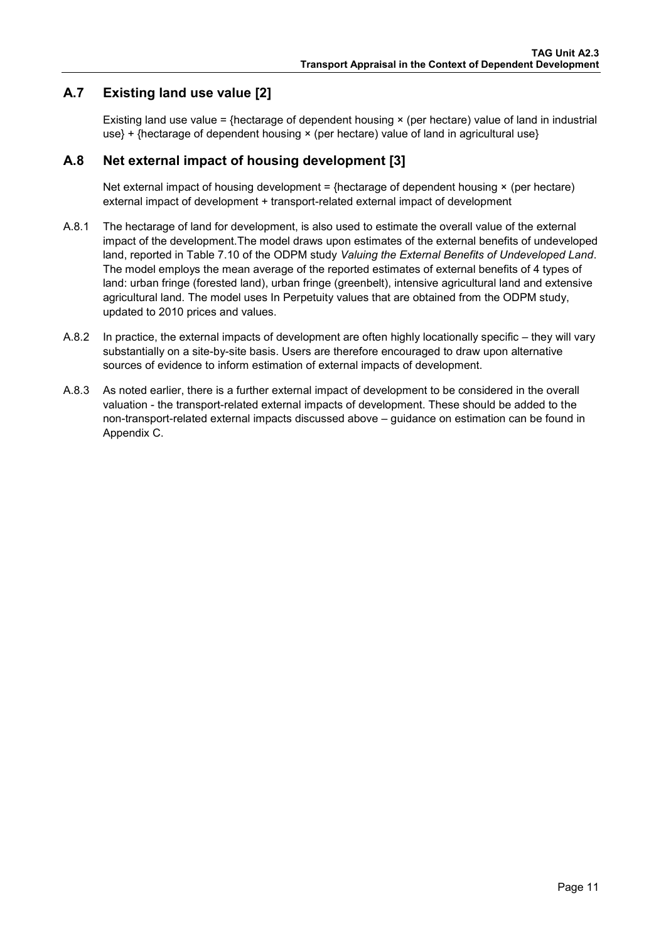### **A.7 Existing land use value [2]**

Existing land use value = {hectarage of dependent housing  $\times$  (per hectare) value of land in industrial use} + {hectarage of dependent housing × (per hectare) value of land in agricultural use}

### **A.8 Net external impact of housing development [3]**

Net external impact of housing development =  ${h}$ ectarage of dependent housing  $\times$  (per hectare) external impact of development + transport-related external impact of development

- A.8.1 The hectarage of land for development, is also used to estimate the overall value of the external impact of the development.The model draws upon estimates of the external benefits of undeveloped land, reported in Table 7.10 of the ODPM study *Valuing the External Benefits of Undeveloped Land*. The model employs the mean average of the reported estimates of external benefits of 4 types of land: urban fringe (forested land), urban fringe (greenbelt), intensive agricultural land and extensive agricultural land. The model uses In Perpetuity values that are obtained from the ODPM study, updated to 2010 prices and values.
- A.8.2 In practice, the external impacts of development are often highly locationally specific they will vary substantially on a site-by-site basis. Users are therefore encouraged to draw upon alternative sources of evidence to inform estimation of external impacts of development.
- A.8.3 As noted earlier, there is a further external impact of development to be considered in the overall valuation - the transport-related external impacts of development. These should be added to the non-transport-related external impacts discussed above – guidance on estimation can be found in [Appendix C.](#page-15-2)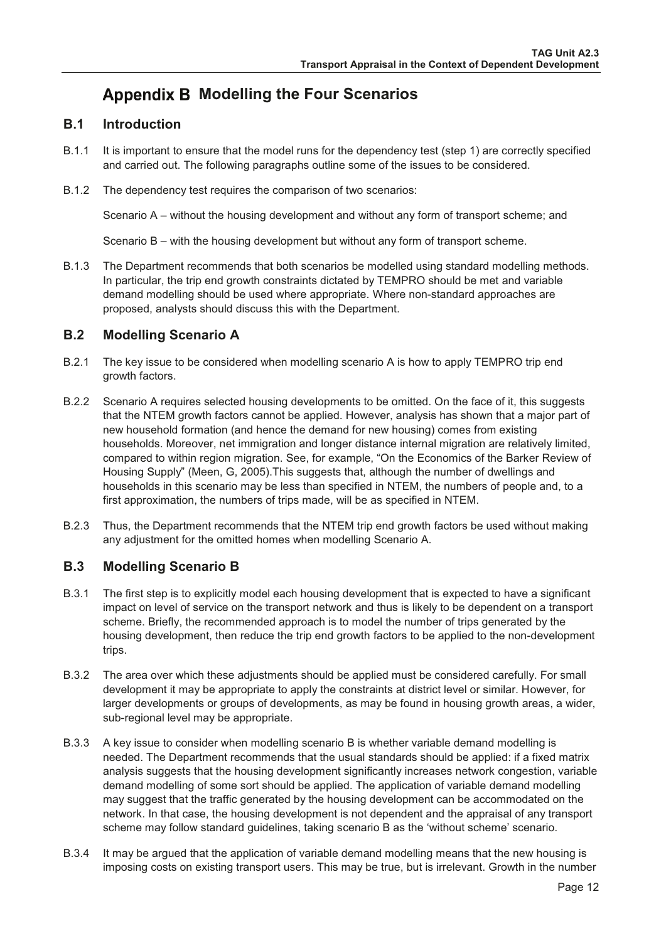# <span id="page-13-1"></span><span id="page-13-0"></span>**Appendix B Modelling the Four Scenarios**

#### $B.1$ **Introduction**

- $B.1.1$ It is important to ensure that the model runs for the dependency test (step 1) are correctly specified and carried out. The following paragraphs outline some of the issues to be considered.
- B.1.2 The dependency test requires the comparison of two scenarios:

Scenario A – without the housing development and without any form of transport scheme; and

Scenario B – with the housing development but without any form of transport scheme.

**B.1.3** The Department recommends that both scenarios be modelled using standard modelling methods. In particular, the trip end growth constraints dictated by TEMPRO should be met and variable demand modelling should be used where appropriate. Where non-standard approaches are proposed, analysts should discuss this with the Department.

#### $B.2$ **Modelling Scenario A**

- $B.2.1$ The key issue to be considered when modelling scenario A is how to apply TEMPRO trip end growth factors.
- $B.2.2$ Scenario A requires selected housing developments to be omitted. On the face of it, this suggests that the NTEM growth factors cannot be applied. However, analysis has shown that a major part of new household formation (and hence the demand for new housing) comes from existing households. Moreover, net immigration and longer distance internal migration are relatively limited, compared to within region migration. See, for example, "On the Economics of the Barker Review of Housing Supply" (Meen, G, 2005). This suggests that, although the number of dwellings and households in this scenario may be less than specified in NTEM, the numbers of people and, to a first approximation, the numbers of trips made, will be as specified in NTEM.
- B.2.3 Thus, the Department recommends that the NTEM trip end growth factors be used without making any adjustment for the omitted homes when modelling Scenario A.

#### $B.3$ **Modelling Scenario B**

- $B.3.1$ The first step is to explicitly model each housing development that is expected to have a significant impact on level of service on the transport network and thus is likely to be dependent on a transport scheme. Briefly, the recommended approach is to model the number of trips generated by the housing development, then reduce the trip end growth factors to be applied to the non-development trips.
- B.3.2 The area over which these adjustments should be applied must be considered carefully. For small development it may be appropriate to apply the constraints at district level or similar. However, for larger developments or groups of developments, as may be found in housing growth areas, a wider. sub-regional level may be appropriate.
- $B.3.3$ A key issue to consider when modelling scenario B is whether variable demand modelling is needed. The Department recommends that the usual standards should be applied: if a fixed matrix analysis suggests that the housing development significantly increases network congestion, variable demand modelling of some sort should be applied. The application of variable demand modelling may suggest that the traffic generated by the housing development can be accommodated on the network. In that case, the housing development is not dependent and the appraisal of any transport scheme may follow standard guidelines, taking scenario B as the 'without scheme' scenario.
- **B.3.4** It may be argued that the application of variable demand modelling means that the new housing is imposing costs on existing transport users. This may be true, but is irrelevant. Growth in the number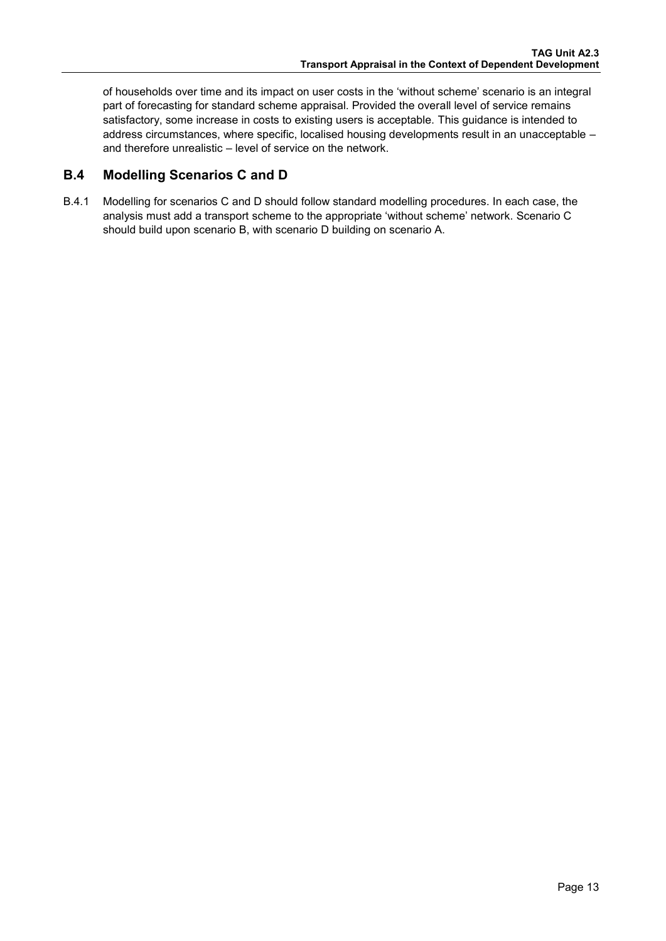of households over time and its impact on user costs in the 'without scheme' scenario is an integral part of forecasting for standard scheme appraisal. Provided the overall level of service remains satisfactory, some increase in costs to existing users is acceptable. This guidance is intended to address circumstances, where specific, localised housing developments result in an unacceptable – and therefore unrealistic – level of service on the network.

### **B.4 Modelling Scenarios C and D**

B.4.1 Modelling for scenarios C and D should follow standard modelling procedures. In each case, the analysis must add a transport scheme to the appropriate 'without scheme' network. Scenario C should build upon scenario B, with scenario D building on scenario A.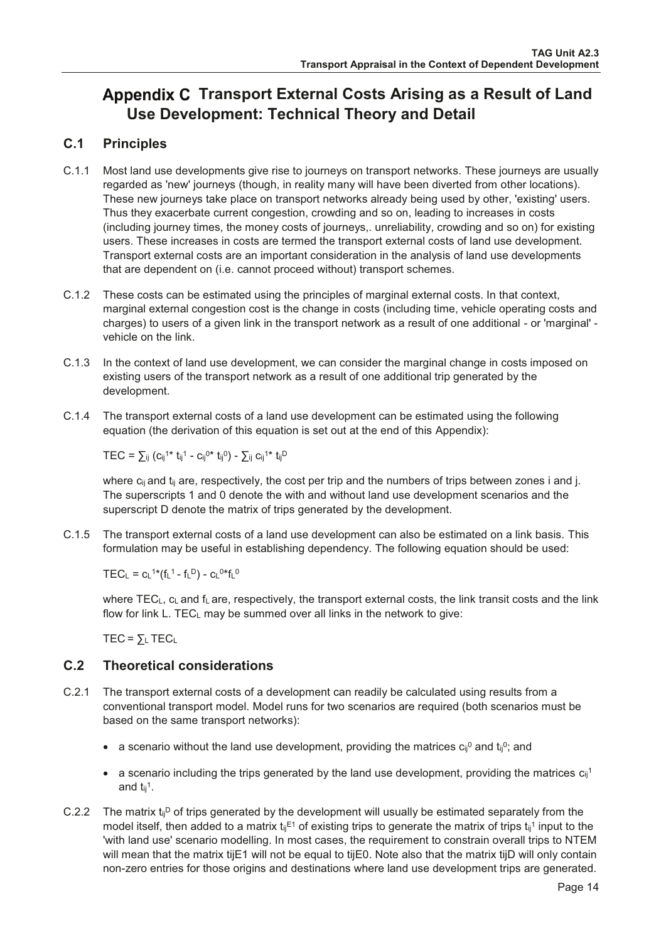# <span id="page-15-2"></span><span id="page-15-1"></span><span id="page-15-0"></span>Appendix C Transport External Costs Arising as a Result of Land **Use Development: Technical Theory and Detail**

#### $C.1$ **Principles**

- $C.1.1$ Most land use developments give rise to journeys on transport networks. These journeys are usually regarded as 'new' journeys (though, in reality many will have been diverted from other locations). These new journeys take place on transport networks already being used by other, 'existing' users. Thus they exacerbate current congestion, crowding and so on, leading to increases in costs (including journey times, the money costs of journeys, unreliability, crowding and so on) for existing users. These increases in costs are termed the transport external costs of land use development. Transport external costs are an important consideration in the analysis of land use developments that are dependent on (i.e. cannot proceed without) transport schemes.
- $C.1.2$ These costs can be estimated using the principles of marginal external costs. In that context, marginal external congestion cost is the change in costs (including time, vehicle operating costs and charges) to users of a given link in the transport network as a result of one additional - or 'marginal' vehicle on the link.
- C.1.3 In the context of land use development, we can consider the marginal change in costs imposed on existing users of the transport network as a result of one additional trip generated by the development.
- C.1.4 The transport external costs of a land use development can be estimated using the following equation (the derivation of this equation is set out at the end of this Appendix):

 $TEC = \sum_{ij} (c_{ij}^{1*} t_{ij}^{1} - c_{ij}^{0*} t_{ij}^{0}) - \sum_{ij} c_{ij}^{1*} t_{ij}^{D}$ 

where  $c_{ij}$  and  $t_{ij}$  are, respectively, the cost per trip and the numbers of trips between zones i and j. The superscripts 1 and 0 denote the with and without land use development scenarios and the superscript D denote the matrix of trips generated by the development.

C.1.5 The transport external costs of a land use development can also be estimated on a link basis. This formulation may be useful in establishing dependency. The following equation should be used:

TEC<sub>1</sub> =  $C_1$ <sup>1\*</sup>(f<sub>1</sub><sup>1</sup> - f<sub>1</sub><sup>D</sup>) -  $C_1$ <sup>0\*f<sub>1</sub><sup>0</sup></sup>

where TECL, CL and fL are, respectively, the transport external costs, the link transit costs and the link flow for link L. TEC<sub>L</sub> may be summed over all links in the network to give:

 $TEC = \sum_{L} TEC_{L}$ 

#### $C.2$ **Theoretical considerations**

- $C.2.1$ The transport external costs of a development can readily be calculated using results from a conventional transport model. Model runs for two scenarios are required (both scenarios must be based on the same transport networks):
	- a scenario without the land use development, providing the matrices  $c_{ij}^0$  and  $t_{ij}^0$ ; and
	- a scenario including the trips generated by the land use development, providing the matrices  $c_{ij}$ <sup>1</sup> and  $t_{ii}$ <sup>1</sup>.
- C.2.2 The matrix  $t_{ij}$ <sup>D</sup> of trips generated by the development will usually be estimated separately from the model itself, then added to a matrix  $t_{ij}^{E_1}$  of existing trips to generate the matrix of trips  $t_{ij}^{1}$  input to the 'with land use' scenario modelling. In most cases, the requirement to constrain overall trips to NTEM will mean that the matrix tijE1 will not be equal to tijE0. Note also that the matrix tijD will only contain non-zero entries for those origins and destinations where land use development trips are generated.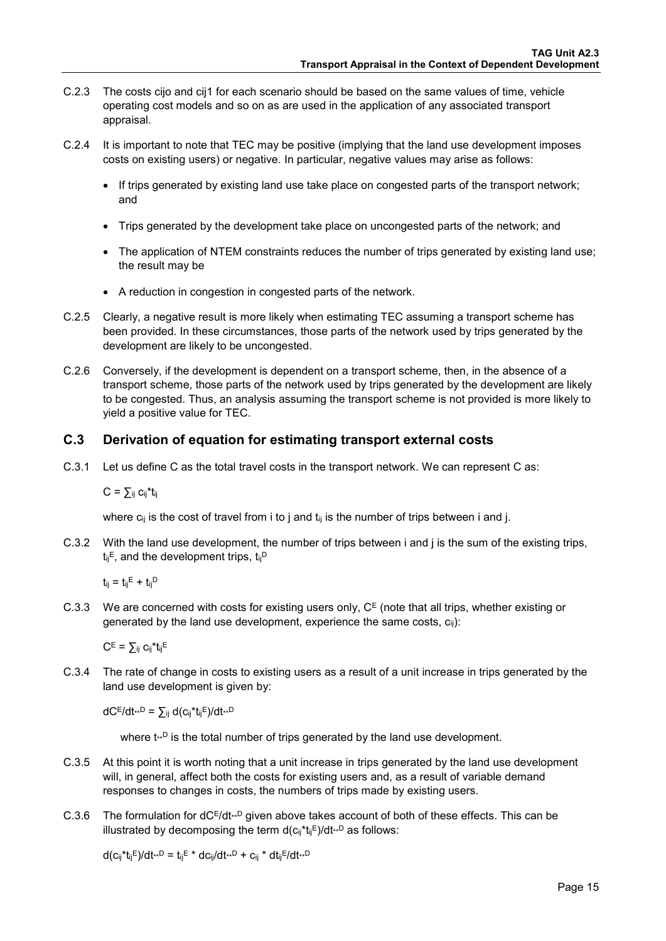- C.2.3 The costs cijo and cij1 for each scenario should be based on the same values of time, vehicle operating cost models and so on as are used in the application of any associated transport appraisal.
- C.2.4 It is important to note that TEC may be positive (implying that the land use development imposes costs on existing users) or negative. In particular, negative values may arise as follows:
	- If trips generated by existing land use take place on congested parts of the transport network; and
	- Trips generated by the development take place on uncongested parts of the network; and
	- The application of NTEM constraints reduces the number of trips generated by existing land use; the result may be
	- A reduction in congestion in congested parts of the network.
- C.2.5 Clearly, a negative result is more likely when estimating TEC assuming a transport scheme has been provided. In these circumstances, those parts of the network used by trips generated by the development are likely to be uncongested.
- C.2.6 Conversely, if the development is dependent on a transport scheme, then, in the absence of a transport scheme, those parts of the network used by trips generated by the development are likely to be congested. Thus, an analysis assuming the transport scheme is not provided is more likely to yield a positive value for TEC.

### **C.3 Derivation of equation for estimating transport external costs**

C.3.1 Let us define C as the total travel costs in the transport network. We can represent C as:

 $C = \sum_{ij} c_{ij} t_{ij}$ 

where  $c_{ij}$  is the cost of travel from i to j and  $t_{ij}$  is the number of trips between i and j.

C.3.2 With the land use development, the number of trips between i and j is the sum of the existing trips,  $t_{ii}$ <sup>E</sup>, and the development trips,  $t_{ii}$ <sup>D</sup>

 $t_{ii} = t_{ii}E + t_{ii}D$ 

C.3.3 We are concerned with costs for existing users only,  $C<sup>E</sup>$  (note that all trips, whether existing or generated by the land use development, experience the same costs,  $c_{ii}$ ):

 $C^E = \sum_{ii} c_{ii}^* t_{ii}^E$ 

C.3.4 The rate of change in costs to existing users as a result of a unit increase in trips generated by the land use development is given by:

 $dC^{E}/dt^{*D} = \sum_{i} d(c_{ij}^{*}t_{ij}^{E})/dt^{*D}$ 

where  $t^{n}$  is the total number of trips generated by the land use development.

- C.3.5 At this point it is worth noting that a unit increase in trips generated by the land use development will, in general, affect both the costs for existing users and, as a result of variable demand responses to changes in costs, the numbers of trips made by existing users.
- C.3.6 The formulation for  $dC^{E}/dt^{0}$  given above takes account of both of these effects. This can be illustrated by decomposing the term  $d(c_{ij}^*t_{ij}E)/dt^{*D}$  as follows:

 $d(c_{ii}^*t_{ii}^E)/dt^{*} = t_{ii}^E * dc_{ii}/dt^{*} + c_{ii} * dt_{ii}^E/dt^{*}$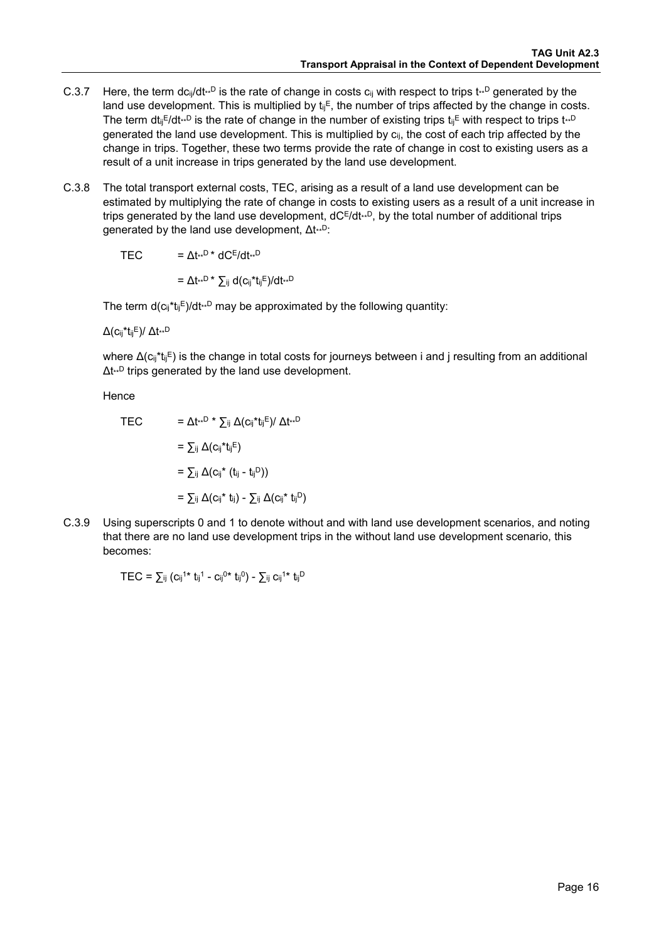- C.3.7 Here, the term dc<sub>ij</sub>/dt<sub>\*\*</sub>D is the rate of change in costs c<sub>ij</sub> with respect to trips t<sub>\*\*</sub>D generated by the land use development. This is multiplied by  $t_{ij}$ <sup>E</sup>, the number of trips affected by the change in costs. The term dt<sub>ij</sub> $Edt^{n}$  is the rate of change in the number of existing trips t<sub>ij</sub>E with respect to trips  $t^{n}$ generated the land use development. This is multiplied by  $c_{ii}$ , the cost of each trip affected by the change in trips. Together, these two terms provide the rate of change in cost to existing users as a result of a unit increase in trips generated by the land use development.
- C.3.8 The total transport external costs, TEC, arising as a result of a land use development can be estimated by multiplying the rate of change in costs to existing users as a result of a unit increase in trips generated by the land use development,  $dC^{E}/dt^{D}$ , by the total number of additional trips generated by the land use development, Δt\*\*D:

TEC  $= \Delta t^{**D} * dC^{E}/dt^{**D}$ 

 $= \Delta t^{**D}$  \*  $\sum_{ij} d(c_{ij}^* t_{ij}^E)/dt^{**D}$ 

The term  $d(c_{ij}^*t_{ij}E)/dt^{*D}$  may be approximated by the following quantity:

 $Δ(c_{ij} * t_{ij}E) / Δt^{**}D$ 

where  $\Delta$ (c<sub>ii</sub>\*t<sub>ii</sub>E) is the change in total costs for journeys between i and j resulting from an additional Δt\*\*D trips generated by the land use development.

Hence

TEC = Δt<sub>\*\*</sub>D \* 
$$
\sum_{ij}
$$
 Δ(c<sub>ij</sub><sup>\*</sup>t<sub>ij</sub>E)/ Δt<sub>\*\*</sub>D  
\n=  $\sum_{ij}$  Δ(c<sub>ij</sub><sup>\*</sup>t<sub>ij</sub>E)  
\n=  $\sum_{ij}$  Δ(c<sub>ij</sub><sup>\*</sup> (t<sub>ij</sub> - t<sub>ij</sub>D))  
\n=  $\sum_{ij}$  Δ(c<sub>ij</sub><sup>\*</sup> t<sub>ij</sub>) -  $\sum_{ij}$  Δ(c<sub>ij</sub><sup>\*</sup> t<sub>ij</sub>D)

C.3.9 Using superscripts 0 and 1 to denote without and with land use development scenarios, and noting that there are no land use development trips in the without land use development scenario, this becomes:

 $\text{TEC} = \sum_{ij} (c_{ij}^{1*} t_{ij}^{1} - c_{ij}^{0*} t_{ij}^{0}) - \sum_{ij} c_{ij}^{1*} t_{ij}^{D}$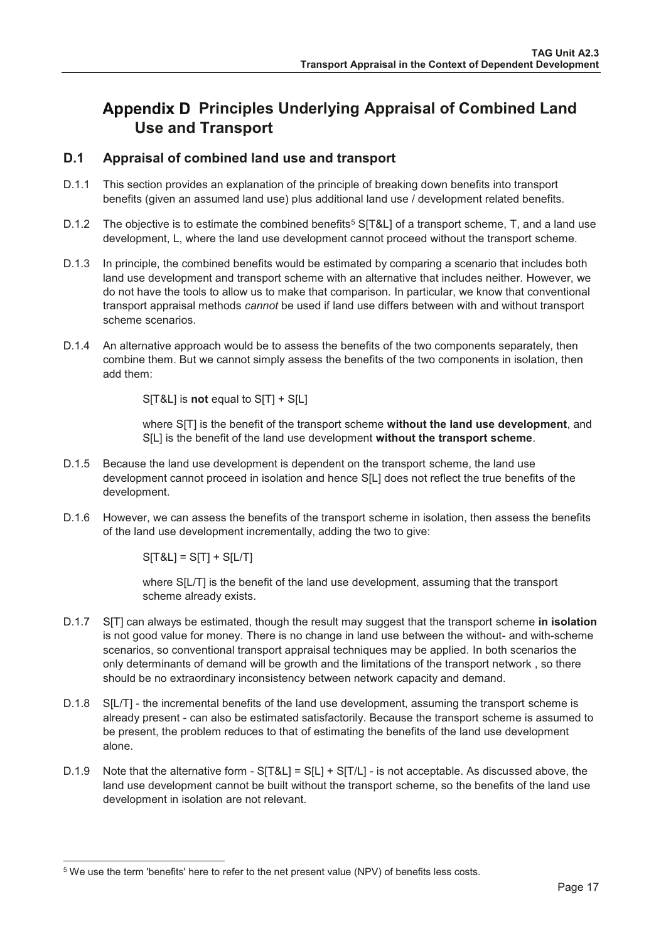# <span id="page-18-0"></span>Appendix D Principles Underlying Appraisal of Combined Land **Use and Transport**

#### $D.1$ Appraisal of combined land use and transport

- $D.1.1$ This section provides an explanation of the principle of breaking down benefits into transport benefits (given an assumed land use) plus additional land use / development related benefits.
- $D.1.2$ The objective is to estimate the combined benefits<sup>5</sup> S[T&L] of a transport scheme, T, and a land use development, L, where the land use development cannot proceed without the transport scheme.
- $D.1.3$ In principle, the combined benefits would be estimated by comparing a scenario that includes both land use development and transport scheme with an alternative that includes neither. However, we do not have the tools to allow us to make that comparison. In particular, we know that conventional transport appraisal methods cannot be used if land use differs between with and without transport scheme scenarios.
- D.1.4 An alternative approach would be to assess the benefits of the two components separately, then combine them. But we cannot simply assess the benefits of the two components in isolation, then add them:

S[T&L] is not equal to S[T] + S[L]

where S[T] is the benefit of the transport scheme without the land use development, and S[L] is the benefit of the land use development without the transport scheme.

- $D.1.5$ Because the land use development is dependent on the transport scheme, the land use development cannot proceed in isolation and hence S[L] does not reflect the true benefits of the development.
- D.1.6 However, we can assess the benefits of the transport scheme in isolation, then assess the benefits of the land use development incrementally, adding the two to give:

 $S[T&L] = S[T] + S[L/T]$ 

where S[L/T] is the benefit of the land use development, assuming that the transport scheme already exists.

- $D.1.7$ SITI can always be estimated, though the result may suggest that the transport scheme in isolation is not good value for money. There is no change in land use between the without- and with-scheme scenarios, so conventional transport appraisal techniques may be applied. In both scenarios the only determinants of demand will be growth and the limitations of the transport network, so there should be no extraordinary inconsistency between network capacity and demand.
- D.1.8 SIL/TI the incremental benefits of the land use development, assuming the transport scheme is already present - can also be estimated satisfactorily. Because the transport scheme is assumed to be present, the problem reduces to that of estimating the benefits of the land use development alone.
- $D.1.9$ Note that the alternative form - S[T&L] = S[L] + S[T/L] - is not acceptable. As discussed above, the land use development cannot be built without the transport scheme, so the benefits of the land use development in isolation are not relevant.

<sup>&</sup>lt;sup>5</sup> We use the term 'benefits' here to refer to the net present value (NPV) of benefits less costs.